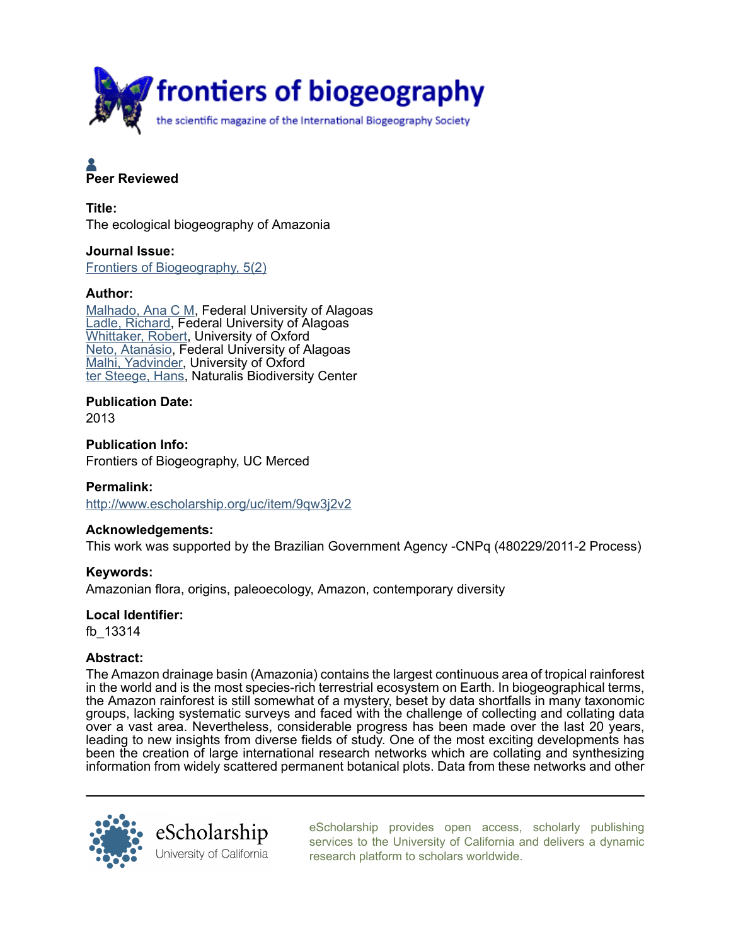

# **A**<br>Peer Reviewed

Title: The ecological biogeography of Amazonia

Journal Issue: [Frontiers of Biogeography, 5\(2\)](http://www.escholarship.org/uc/fb?volume=5;issue=2)

# Author:

[Malhado, Ana C M](http://www.escholarship.org/uc/search?creator=Malhado%2C%20Ana%20C%20M), Federal University of Alagoas [Ladle, Richard,](http://www.escholarship.org/uc/search?creator=Ladle%2C%20Richard) Federal University of Alagoas [Whittaker, Robert,](http://www.escholarship.org/uc/search?creator=Whittaker%2C%20Robert) University of Oxford [Neto, Atanásio](http://www.escholarship.org/uc/search?creator=Neto%2C%20Atan%C3%A1sio), Federal University of Alagoas [Malhi, Yadvinder](http://www.escholarship.org/uc/search?creator=Malhi%2C%20Yadvinder), University of Oxford [ter Steege, Hans](http://www.escholarship.org/uc/search?creator=ter%20Steege%2C%20Hans), Naturalis Biodiversity Center

Publication Date:

2013

Publication Info: Frontiers of Biogeography, UC Merced

Permalink: <http://www.escholarship.org/uc/item/9qw3j2v2>

# Acknowledgements:

This work was supported by the Brazilian Government Agency -CNPq (480229/2011-2 Process)

Keywords:

Amazonian flora, origins, paleoecology, Amazon, contemporary diversity

Local Identifier:

fb\_13314

# Abstract:

The Amazon drainage basin (Amazonia) contains the largest continuous area of tropical rainforest in the world and is the most species-rich terrestrial ecosystem on Earth. In biogeographical terms, the Amazon rainforest is still somewhat of a mystery, beset by data shortfalls in many taxonomic groups, lacking systematic surveys and faced with the challenge of collecting and collating data over a vast area. Nevertheless, considerable progress has been made over the last 20 years, leading to new insights from diverse fields of study. One of the most exciting developments has been the creation of large international research networks which are collating and synthesizing information from widely scattered permanent botanical plots. Data from these networks and other



[eScholarship provides open access, scholarly publishing](http://www.escholarship.org) [services to the University of California and delivers a dynamic](http://www.escholarship.org) [research platform to scholars worldwide.](http://www.escholarship.org)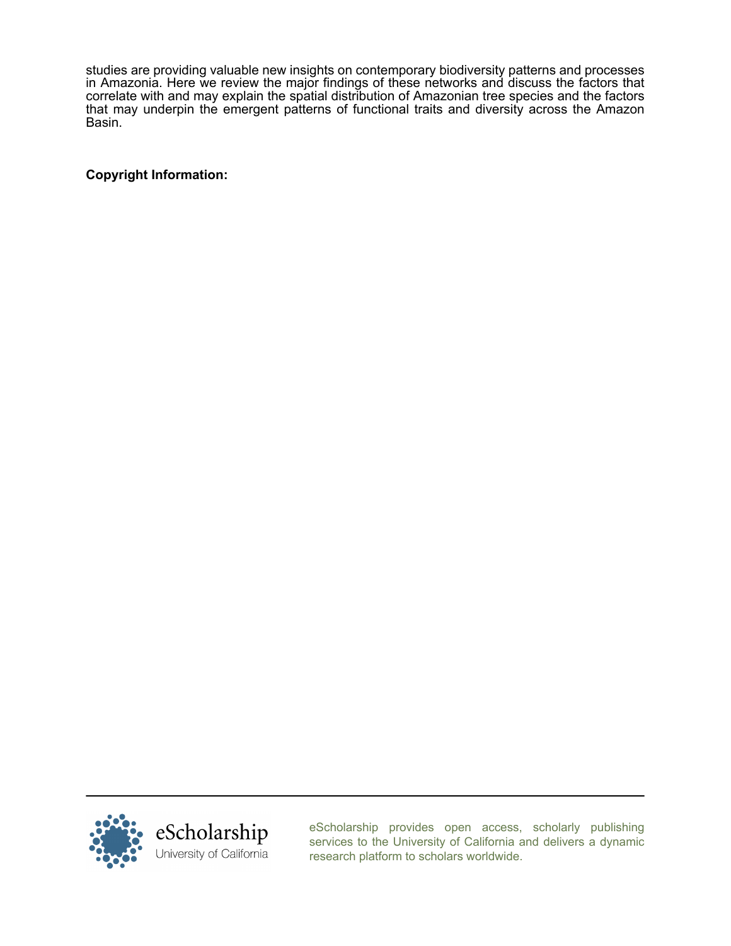studies are providing valuable new insights on contemporary biodiversity patterns and processes in Amazonia. Here we review the major findings of these networks and discuss the factors that correlate with and may explain the spatial distribution of Amazonian tree species and the factors that may underpin the emergent patterns of functional traits and diversity across the Amazon Basin.

Copyright Information:



[eScholarship provides open access, scholarly publishing](http://www.escholarship.org) [services to the University of California and delivers a dynamic](http://www.escholarship.org) [research platform to scholars worldwide.](http://www.escholarship.org)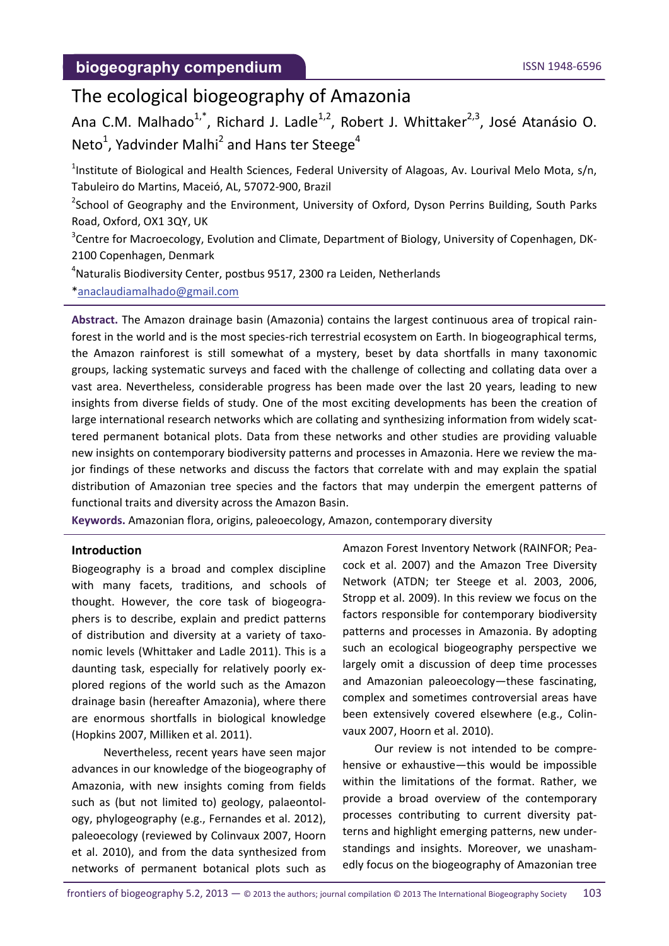# The ecological biogeography of Amazonia

Ana C.M. Malhado<sup>1,\*</sup>, Richard J. Ladle<sup>1,2</sup>, Robert J. Whittaker<sup>2,3</sup>, José Atanásio O. Neto<sup>1</sup>, Yadvinder Malhi<sup>2</sup> and Hans ter Steege<sup>4</sup>

<sup>1</sup>Institute of Biological and Health Sciences, Federal University of Alagoas, Av. Lourival Melo Mota, s/n, Tabuleiro do Martins, Maceió, AL, 57072‐900, Brazil

<sup>2</sup>School of Geography and the Environment, University of Oxford, Dyson Perrins Building, South Parks Road, Oxford, OX1 3QY, UK

<sup>3</sup>Centre for Macroecology, Evolution and Climate, Department of Biology, University of Copenhagen, DK-2100 Copenhagen, Denmark

<sup>4</sup>Naturalis Biodiversity Center, postbus 9517, 2300 ra Leiden, Netherlands

[\\*anaclaudiamalhado@gmail.com](mailto:anaclaudiamalhado@gmail.com)

**Abstract.** The Amazon drainage basin (Amazonia) contains the largest continuous area of tropical rain‐ forest in the world and is the most species-rich terrestrial ecosystem on Earth. In biogeographical terms, the Amazon rainforest is still somewhat of a mystery, beset by data shortfalls in many taxonomic groups, lacking systematic surveys and faced with the challenge of collecting and collating data over a vast area. Nevertheless, considerable progress has been made over the last 20 years, leading to new insights from diverse fields of study. One of the most exciting developments has been the creation of large international research networks which are collating and synthesizing information from widely scattered permanent botanical plots. Data from these networks and other studies are providing valuable new insights on contemporary biodiversity patterns and processes in Amazonia. Here we review the ma‐ jor findings of these networks and discuss the factors that correlate with and may explain the spatial distribution of Amazonian tree species and the factors that may underpin the emergent patterns of functional traits and diversity across the Amazon Basin.

**Keywords.** Amazonian flora, origins, paleoecology, Amazon, contemporary diversity

#### **Introduction**

Biogeography is a broad and complex discipline with many facets, traditions, and schools of thought. However, the core task of biogeogra‐ phers is to describe, explain and predict patterns of distribution and diversity at a variety of taxo‐ nomic levels (Whittaker and Ladle 2011). This is a daunting task, especially for relatively poorly ex‐ plored regions of the world such as the Amazon drainage basin (hereafter Amazonia), where there are enormous shortfalls in biological knowledge (Hopkins 2007, Milliken et al. 2011).

Nevertheless, recent years have seen major advances in our knowledge of the biogeography of Amazonia, with new insights coming from fields such as (but not limited to) geology, palaeontol‐ ogy, phylogeography (e.g., Fernandes et al. 2012), paleoecology (reviewed by Colinvaux 2007, Hoorn et al. 2010), and from the data synthesized from networks of permanent botanical plots such as

Amazon Forest Inventory Network (RAINFOR; Pea‐ cock et al. 2007) and the Amazon Tree Diversity Network (ATDN; ter Steege et al. 2003, 2006, Stropp et al. 2009). In this review we focus on the factors responsible for contemporary biodiversity patterns and processes in Amazonia. By adopting such an ecological biogeography perspective we largely omit a discussion of deep time processes and Amazonian paleoecology—these fascinating, complex and sometimes controversial areas have been extensively covered elsewhere (e.g., Colin‐ vaux 2007, Hoorn et al. 2010).

Our review is not intended to be compre‐ hensive or exhaustive—this would be impossible within the limitations of the format. Rather, we provide a broad overview of the contemporary processes contributing to current diversity pat‐ terns and highlight emerging patterns, new under‐ standings and insights. Moreover, we unasham‐ edly focus on the biogeography of Amazonian tree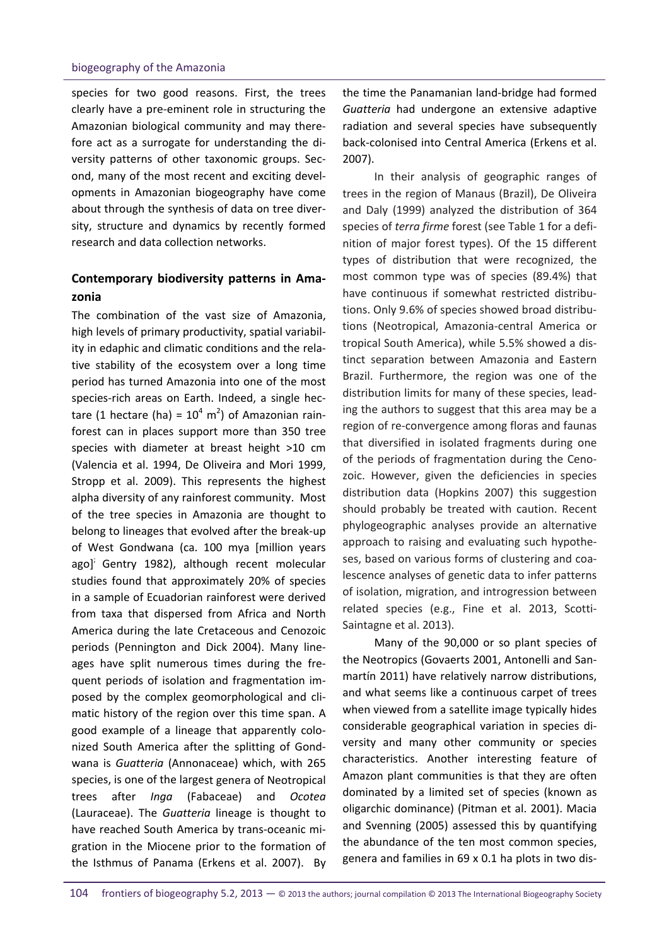species for two good reasons. First, the trees clearly have a pre‐eminent role in structuring the Amazonian biological community and may there‐ fore act as a surrogate for understanding the di‐ versity patterns of other taxonomic groups. Sec‐ ond, many of the most recent and exciting devel‐ opments in Amazonian biogeography have come about through the synthesis of data on tree diver‐ sity, structure and dynamics by recently formed research and data collection networks.

# **Contemporary biodiversity patterns in Ama‐ zonia**

The combination of the vast size of Amazonia, high levels of primary productivity, spatial variabil‐ ity in edaphic and climatic conditions and the rela‐ tive stability of the ecosystem over a long time period has turned Amazonia into one of the most species-rich areas on Earth. Indeed, a single hectare (1 hectare (ha) =  $10^4$  m<sup>2</sup>) of Amazonian rainforest can in places support more than 350 tree species with diameter at breast height >10 cm (Valencia et al. 1994, De Oliveira and Mori 1999, Stropp et al. 2009). This represents the highest alpha diversity of any rainforest community. Most of the tree species in Amazonia are thought to belong to lineages that evolved after the break‐up of West Gondwana (ca. 100 mya [million years ago] $\frac{1}{2}$  Gentry 1982), although recent molecular studies found that approximately 20% of species in a sample of Ecuadorian rainforest were derived from taxa that dispersed from Africa and North America during the late Cretaceous and Cenozoic periods (Pennington and Dick 2004). Many line‐ ages have split numerous times during the fre‐ quent periods of isolation and fragmentation im‐ posed by the complex geomorphological and cli‐ matic history of the region over this time span. A good example of a lineage that apparently colo‐ nized South America after the splitting of Gond‐ wana is *Guatteria* (Annonaceae) which, with 265 species, is one of the largest genera of Neotropical trees after *Inga* (Fabaceae) and *Ocotea* (Lauraceae). The *Guatteria* lineage is thought to have reached South America by trans‐oceanic mi‐ gration in the Miocene prior to the formation of the Isthmus of Panama (Erkens et al. 2007). By the time the Panamanian land‐bridge had formed *Guatteria* had undergone an extensive adaptive radiation and several species have subsequently back‐colonised into Central America (Erkens et al. 2007).

In their analysis of geographic ranges of trees in the region of Manaus (Brazil), De Oliveira and Daly (1999) analyzed the distribution of 364 species of *terra firme* forest (see Table 1 for a defi‐ nition of major forest types). Of the 15 different types of distribution that were recognized, the most common type was of species (89.4%) that have continuous if somewhat restricted distributions. Only 9.6% of species showed broad distribu‐ tions (Neotropical, Amazonia‐central America or tropical South America), while 5.5% showed a dis‐ tinct separation between Amazonia and Eastern Brazil. Furthermore, the region was one of the distribution limits for many of these species, lead‐ ing the authors to suggest that this area may be a region of re‐convergence among floras and faunas that diversified in isolated fragments during one of the periods of fragmentation during the Ceno‐ zoic. However, given the deficiencies in species distribution data (Hopkins 2007) this suggestion should probably be treated with caution. Recent phylogeographic analyses provide an alternative approach to raising and evaluating such hypothe‐ ses, based on various forms of clustering and coa‐ lescence analyses of genetic data to infer patterns of isolation, migration, and introgression between related species (e.g., Fine et al. 2013, Scotti‐ Saintagne et al. 2013).

Many of the 90,000 or so plant species of the Neotropics (Govaerts 2001, Antonelli and San‐ martín 2011) have relatively narrow distributions, and what seems like a continuous carpet of trees when viewed from a satellite image typically hides considerable geographical variation in species di‐ versity and many other community or species characteristics. Another interesting feature of Amazon plant communities is that they are often dominated by a limited set of species (known as oligarchic dominance) (Pitman et al. 2001). Macia and Svenning (2005) assessed this by quantifying the abundance of the ten most common species, genera and families in 69 x 0.1 ha plots in two dis‐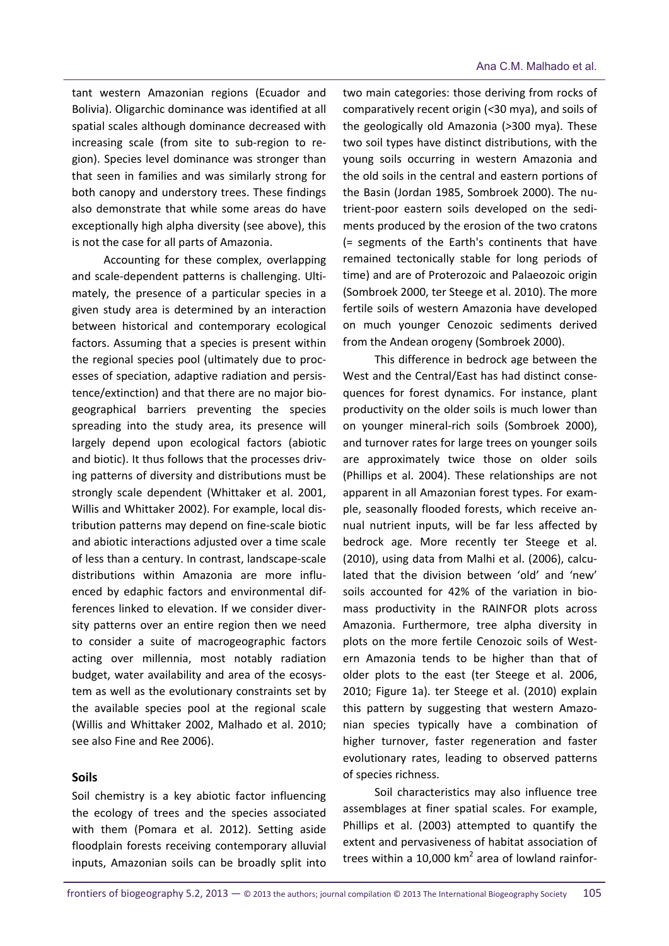tant western Amazonian regions (Ecuador and Bolivia). Oligarchic dominance was identified at all spatial scales although dominance decreased with increasing scale (from site to sub‐region to re‐ gion). Species level dominance was stronger than that seen in families and was similarly strong for both canopy and understory trees. These findings also demonstrate that while some areas do have exceptionally high alpha diversity (see above), this is not the case for all parts of Amazonia.

Accounting for these complex, overlapping and scale‐dependent patterns is challenging. Ulti‐ mately, the presence of a particular species in a given study area is determined by an interaction between historical and contemporary ecological factors. Assuming that a species is present within the regional species pool (ultimately due to proc‐ esses of speciation, adaptive radiation and persis‐ tence/extinction) and that there are no major bio‐ geographical barriers preventing the species spreading into the study area, its presence will largely depend upon ecological factors (abiotic and biotic). It thus follows that the processes driv‐ ing patterns of diversity and distributions must be strongly scale dependent (Whittaker et al. 2001, Willis and Whittaker 2002). For example, local dis‐ tribution patterns may depend on fine‐scale biotic and abiotic interactions adjusted over a time scale of less than a century. In contrast, landscape‐scale distributions within Amazonia are more influ‐ enced by edaphic factors and environmental dif‐ ferences linked to elevation. If we consider diver‐ sity patterns over an entire region then we need to consider a suite of macrogeographic factors acting over millennia, most notably radiation budget, water availability and area of the ecosys‐ tem as well as the evolutionary constraints set by the available species pool at the regional scale (Willis and Whittaker 2002, Malhado et al. 2010; see also Fine and Ree 2006).

#### **Soils**

Soil chemistry is a key abiotic factor influencing the ecology of trees and the species associated with them (Pomara et al. 2012). Setting aside floodplain forests receiving contemporary alluvial inputs, Amazonian soils can be broadly split into two main categories: those deriving from rocks of comparatively recent origin (*<*30 mya), and soils of the geologically old Amazonia (*>*300 mya). These two soil types have distinct distributions, with the young soils occurring in western Amazonia and the old soils in the central and eastern portions of the Basin (Jordan 1985, Sombroek 2000). The nu‐ trient‐poor eastern soils developed on the sedi‐ ments produced by the erosion of the two cratons (= segments of the Earth's continents that have remained tectonically stable for long periods of time) and are of Proterozoic and Palaeozoic origin (Sombroek 2000, ter Steege et al. 2010). The more fertile soils of western Amazonia have developed on much younger Cenozoic sediments derived from the Andean orogeny (Sombroek 2000).

This difference in bedrock age between the West and the Central/East has had distinct conse‐ quences for forest dynamics. For instance, plant productivity on the older soils is much lower than on younger mineral‐rich soils (Sombroek 2000), and turnover rates for large trees on younger soils are approximately twice those on older soils (Phillips et al. 2004). These relationships are not apparent in all Amazonian forest types. For exam‐ ple, seasonally flooded forests, which receive an‐ nual nutrient inputs, will be far less affected by bedrock age. More recently ter Steege et al. (2010), using data from Malhi et al. (2006), calcu‐ lated that the division between 'old' and 'new' soils accounted for 42% of the variation in bio‐ mass productivity in the RAINFOR plots across Amazonia. Furthermore, tree alpha diversity in plots on the more fertile Cenozoic soils of West‐ ern Amazonia tends to be higher than that of older plots to the east (ter Steege et al. 2006, 2010; Figure 1a). ter Steege et al. (2010) explain this pattern by suggesting that western Amazo‐ nian species typically have a combination of higher turnover, faster regeneration and faster evolutionary rates, leading to observed patterns of species richness.

Soil characteristics may also influence tree assemblages at finer spatial scales. For example, Phillips et al. (2003) attempted to quantify the extent and pervasiveness of habitat association of trees within a 10,000  $km^2$  area of lowland rainfor-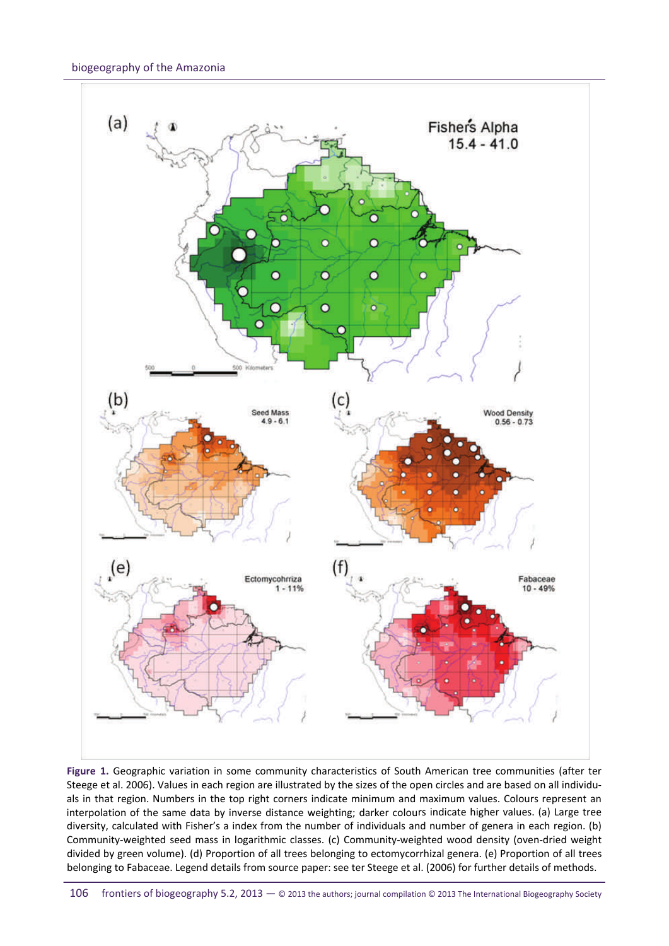#### biogeography of the Amazonia



**Figure 1.** Geographic variation in some community characteristics of South American tree communities (after ter Steege et al. 2006). Values in each region are illustrated by the sizes of the open circles and are based on all individuals in that region. Numbers in the top right corners indicate minimum and maximum values. Colours represent an interpolation of the same data by inverse distance weighting; darker colours indicate higher values. (a) Large tree diversity, calculated with Fisher's a index from the number of individuals and number of genera in each region. (b) Community‐weighted seed mass in logarithmic classes. (c) Community‐weighted wood density (oven‐dried weight divided by green volume). (d) Proportion of all trees belonging to ectomycorrhizal genera. (e) Proportion of all trees belonging to Fabaceae. Legend details from source paper: see ter Steege et al. (2006) for further details of methods.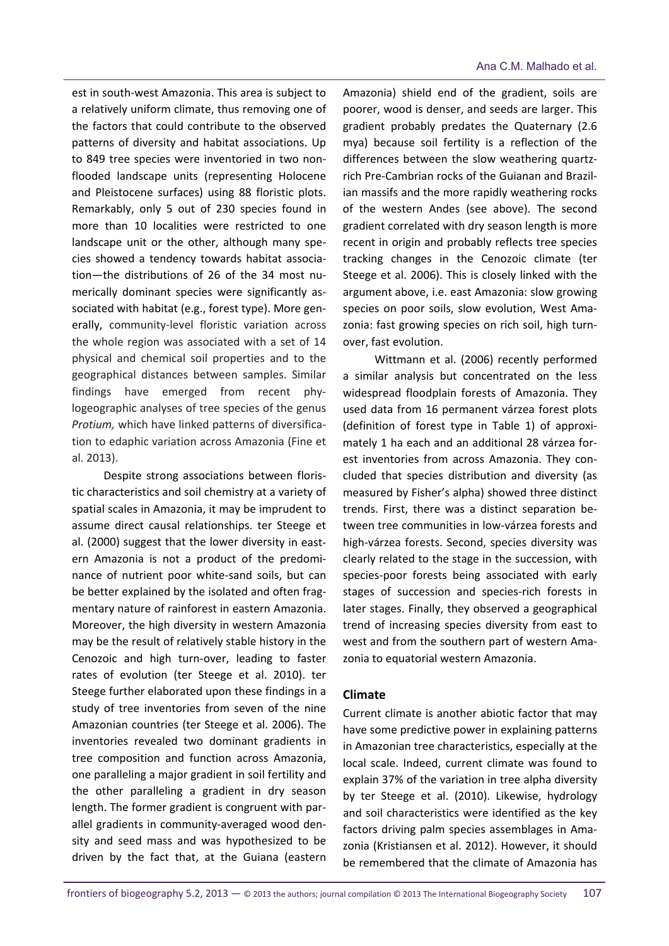est in south‐west Amazonia. This area is subject to a relatively uniform climate, thus removing one of the factors that could contribute to the observed patterns of diversity and habitat associations. Up to 849 tree species were inventoried in two non‐ flooded landscape units (representing Holocene and Pleistocene surfaces) using 88 floristic plots. Remarkably, only 5 out of 230 species found in more than 10 localities were restricted to one landscape unit or the other, although many spe‐ cies showed a tendency towards habitat associa‐ tion—the distributions of 26 of the 34 most nu‐ merically dominant species were significantly associated with habitat (e.g., forest type). More gen‐ erally, community‐level floristic variation across the whole region was associated with a set of 14 physical and chemical soil properties and to the geographical distances between samples. Similar findings have emerged from recent phy‐ logeographic analyses of tree species of the genus *Protium,* which have linked patterns of diversifica‐ tion to edaphic variation across Amazonia (Fine et al. 2013).

Despite strong associations between floris‐ tic characteristics and soil chemistry at a variety of spatial scales in Amazonia, it may be imprudent to assume direct causal relationships. ter Steege et al. (2000) suggest that the lower diversity in east‐ ern Amazonia is not a product of the predomi‐ nance of nutrient poor white‐sand soils, but can be better explained by the isolated and often frag‐ mentary nature of rainforest in eastern Amazonia. Moreover, the high diversity in western Amazonia may be the result of relatively stable history in the Cenozoic and high turn‐over, leading to faster rates of evolution (ter Steege et al. 2010). ter Steege further elaborated upon these findings in a study of tree inventories from seven of the nine Amazonian countries (ter Steege et al. 2006). The inventories revealed two dominant gradients in tree composition and function across Amazonia, one paralleling a major gradient in soil fertility and the other paralleling a gradient in dry season length. The former gradient is congruent with par‐ allel gradients in community‐averaged wood den‐ sity and seed mass and was hypothesized to be driven by the fact that, at the Guiana (eastern

Amazonia) shield end of the gradient, soils are poorer, wood is denser, and seeds are larger. This gradient probably predates the Quaternary (2.6 mya) because soil fertility is a reflection of the differences between the slow weathering quartz‐ rich Pre‐Cambrian rocks of the Guianan and Brazil‐ ian massifs and the more rapidly weathering rocks of the western Andes (see above). The second gradient correlated with dry season length is more recent in origin and probably reflects tree species tracking changes in the Cenozoic climate (ter Steege et al. 2006). This is closely linked with the argument above, i.e. east Amazonia: slow growing species on poor soils, slow evolution, West Amazonia: fast growing species on rich soil, high turn‐ over, fast evolution.

Wittmann et al. (2006) recently performed a similar analysis but concentrated on the less widespread floodplain forests of Amazonia. They used data from 16 permanent várzea forest plots (definition of forest type in Table 1) of approxi‐ mately 1 ha each and an additional 28 várzea for‐ est inventories from across Amazonia. They concluded that species distribution and diversity (as measured by Fisher's alpha) showed three distinct trends. First, there was a distinct separation be‐ tween tree communities in low‐várzea forests and high‐várzea forests. Second, species diversity was clearly related to the stage in the succession, with species‐poor forests being associated with early stages of succession and species‐rich forests in later stages. Finally, they observed a geographical trend of increasing species diversity from east to west and from the southern part of western Ama‐ zonia to equatorial western Amazonia.

#### **Climate**

Current climate is another abiotic factor that may have some predictive power in explaining patterns in Amazonian tree characteristics, especially at the local scale. Indeed, current climate was found to explain 37% of the variation in tree alpha diversity by ter Steege et al. (2010). Likewise, hydrology and soil characteristics were identified as the key factors driving palm species assemblages in Ama‐ zonia (Kristiansen et al. 2012). However, it should be remembered that the climate of Amazonia has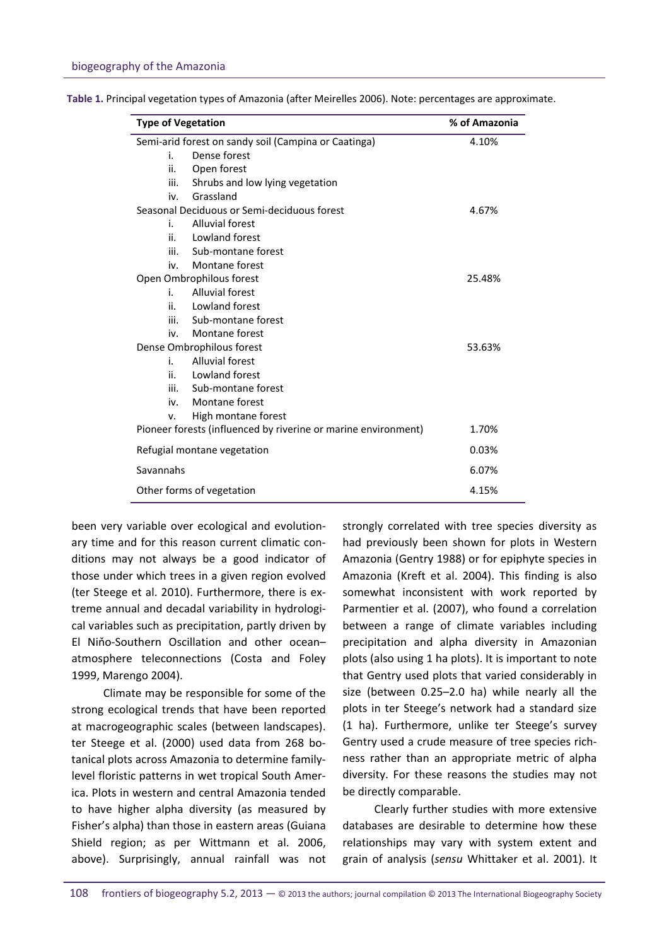| <b>Type of Vegetation</b><br>Semi-arid forest on sandy soil (Campina or Caatinga) |                                 | % of Amazonia<br>4.10% |
|-----------------------------------------------------------------------------------|---------------------------------|------------------------|
|                                                                                   |                                 |                        |
| ii.                                                                               | Open forest                     |                        |
| iii.                                                                              | Shrubs and low lying vegetation |                        |
| iv.                                                                               | Grassland                       |                        |
| Seasonal Deciduous or Semi-deciduous forest                                       |                                 | 4.67%                  |
| i.                                                                                | <b>Alluvial forest</b>          |                        |
| ii.                                                                               | Lowland forest                  |                        |
| iii.                                                                              | Sub-montane forest              |                        |
| iv.                                                                               | Montane forest                  |                        |
| Open Ombrophilous forest                                                          |                                 | 25.48%                 |
| i.                                                                                | <b>Alluvial forest</b>          |                        |
| ii.                                                                               | Lowland forest                  |                        |
| iii.                                                                              | Sub-montane forest              |                        |
| iv.                                                                               | Montane forest                  |                        |
| Dense Ombrophilous forest                                                         |                                 | 53.63%                 |
| i.                                                                                | <b>Alluvial forest</b>          |                        |
| ii.                                                                               | Lowland forest                  |                        |
| iii.                                                                              | Sub-montane forest              |                        |
| iv.                                                                               | Montane forest                  |                        |
| v.                                                                                | High montane forest             |                        |
| Pioneer forests (influenced by riverine or marine environment)                    |                                 | 1.70%                  |
| Refugial montane vegetation                                                       |                                 | 0.03%                  |
| Savannahs                                                                         |                                 | 6.07%                  |
| Other forms of vegetation                                                         |                                 | 4.15%                  |

**Table 1.** Principal vegetation types of Amazonia (after Meirelles 2006). Note: percentages are approximate.

been very variable over ecological and evolution‐ ary time and for this reason current climatic con‐ ditions may not always be a good indicator of those under which trees in a given region evolved (ter Steege et al. 2010). Furthermore, there is ex‐ treme annual and decadal variability in hydrologi‐ cal variables such as precipitation, partly driven by El Niňo‐Southern Oscillation and other ocean– atmosphere teleconnections (Costa and Foley 1999, Marengo 2004).

Climate may be responsible for some of the strong ecological trends that have been reported at macrogeographic scales (between landscapes). ter Steege et al. (2000) used data from 268 bo‐ tanical plots across Amazonia to determine family‐ level floristic patterns in wet tropical South Amer‐ ica. Plots in western and central Amazonia tended to have higher alpha diversity (as measured by Fisher's alpha) than those in eastern areas (Guiana Shield region; as per Wittmann et al. 2006, above). Surprisingly, annual rainfall was not strongly correlated with tree species diversity as had previously been shown for plots in Western Amazonia (Gentry 1988) or for epiphyte species in Amazonia (Kreft et al. 2004). This finding is also somewhat inconsistent with work reported by Parmentier et al. (2007), who found a correlation between a range of climate variables including precipitation and alpha diversity in Amazonian plots (also using 1 ha plots). It is important to note that Gentry used plots that varied considerably in size (between 0.25–2.0 ha) while nearly all the plots in ter Steege's network had a standard size (1 ha). Furthermore, unlike ter Steege's survey Gentry used a crude measure of tree species rich‐ ness rather than an appropriate metric of alpha diversity. For these reasons the studies may not be directly comparable.

Clearly further studies with more extensive databases are desirable to determine how these relationships may vary with system extent and grain of analysis (*sensu* Whittaker et al. 2001). It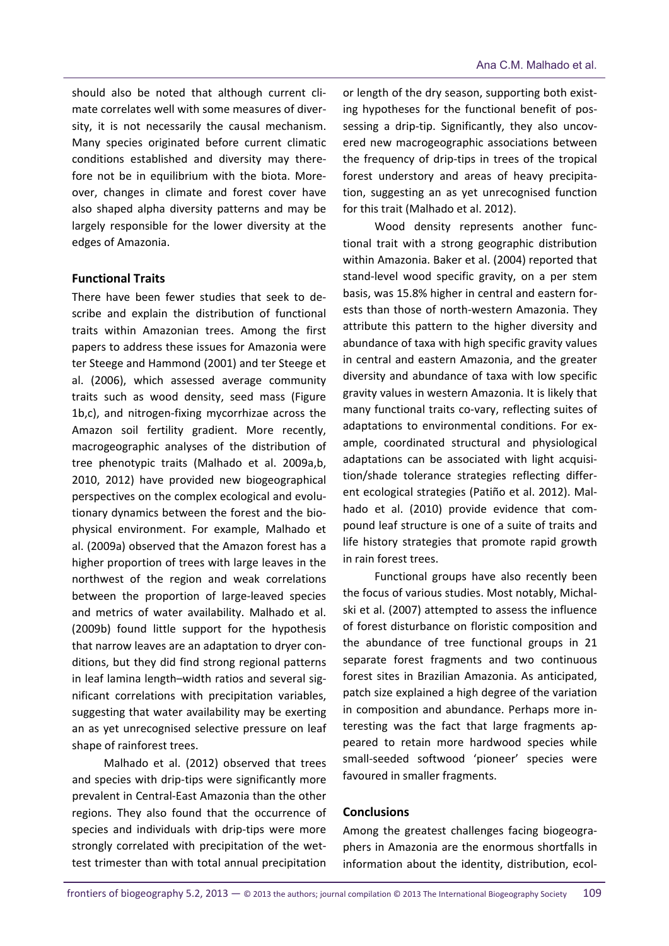should also be noted that although current cli‐ mate correlates well with some measures of diver‐ sity, it is not necessarily the causal mechanism. Many species originated before current climatic conditions established and diversity may there‐ fore not be in equilibrium with the biota. Moreover, changes in climate and forest cover have also shaped alpha diversity patterns and may be largely responsible for the lower diversity at the edges of Amazonia.

#### **Functional Traits**

There have been fewer studies that seek to de‐ scribe and explain the distribution of functional traits within Amazonian trees. Among the first papers to address these issues for Amazonia were ter Steege and Hammond (2001) and ter Steege et al. (2006), which assessed average community traits such as wood density, seed mass (Figure 1b,c), and nitrogen‐fixing mycorrhizae across the Amazon soil fertility gradient. More recently, macrogeographic analyses of the distribution of tree phenotypic traits (Malhado et al. 2009a,b, 2010, 2012) have provided new biogeographical perspectives on the complex ecological and evolu‐ tionary dynamics between the forest and the bio‐ physical environment. For example, Malhado et al. (2009a) observed that the Amazon forest has a higher proportion of trees with large leaves in the northwest of the region and weak correlations between the proportion of large‐leaved species and metrics of water availability. Malhado et al. (2009b) found little support for the hypothesis that narrow leaves are an adaptation to dryer con‐ ditions, but they did find strong regional patterns in leaf lamina length–width ratios and several sig‐ nificant correlations with precipitation variables, suggesting that water availability may be exerting an as yet unrecognised selective pressure on leaf shape of rainforest trees.

Malhado et al. (2012) observed that trees and species with drip-tips were significantly more prevalent in Central‐East Amazonia than the other regions. They also found that the occurrence of species and individuals with drip‐tips were more strongly correlated with precipitation of the wet‐ test trimester than with total annual precipitation

or length of the dry season, supporting both exist‐ ing hypotheses for the functional benefit of pos‐ sessing a drip-tip. Significantly, they also uncovered new macrogeographic associations between the frequency of drip‐tips in trees of the tropical forest understory and areas of heavy precipita‐ tion, suggesting an as yet unrecognised function for this trait (Malhado et al. 2012).

Wood density represents another functional trait with a strong geographic distribution within Amazonia. Baker et al. (2004) reported that stand‐level wood specific gravity, on a per stem basis, was 15.8% higher in central and eastern for‐ ests than those of north‐western Amazonia. They attribute this pattern to the higher diversity and abundance of taxa with high specific gravity values in central and eastern Amazonia, and the greater diversity and abundance of taxa with low specific gravity values in western Amazonia. It is likely that many functional traits co-vary, reflecting suites of adaptations to environmental conditions. For ex‐ ample, coordinated structural and physiological adaptations can be associated with light acquisi‐ tion/shade tolerance strategies reflecting differ‐ ent ecological strategies (Patiño et al. 2012). Mal‐ hado et al. (2010) provide evidence that compound leaf structure is one of a suite of traits and life history strategies that promote rapid growth in rain forest trees.

Functional groups have also recently been the focus of various studies. Most notably, Michal‐ ski et al. (2007) attempted to assess the influence of forest disturbance on floristic composition and the abundance of tree functional groups in 21 separate forest fragments and two continuous forest sites in Brazilian Amazonia. As anticipated, patch size explained a high degree of the variation in composition and abundance. Perhaps more in‐ teresting was the fact that large fragments ap‐ peared to retain more hardwood species while small‐seeded softwood 'pioneer' species were favoured in smaller fragments.

#### **Conclusions**

Among the greatest challenges facing biogeogra‐ phers in Amazonia are the enormous shortfalls in information about the identity, distribution, ecol‐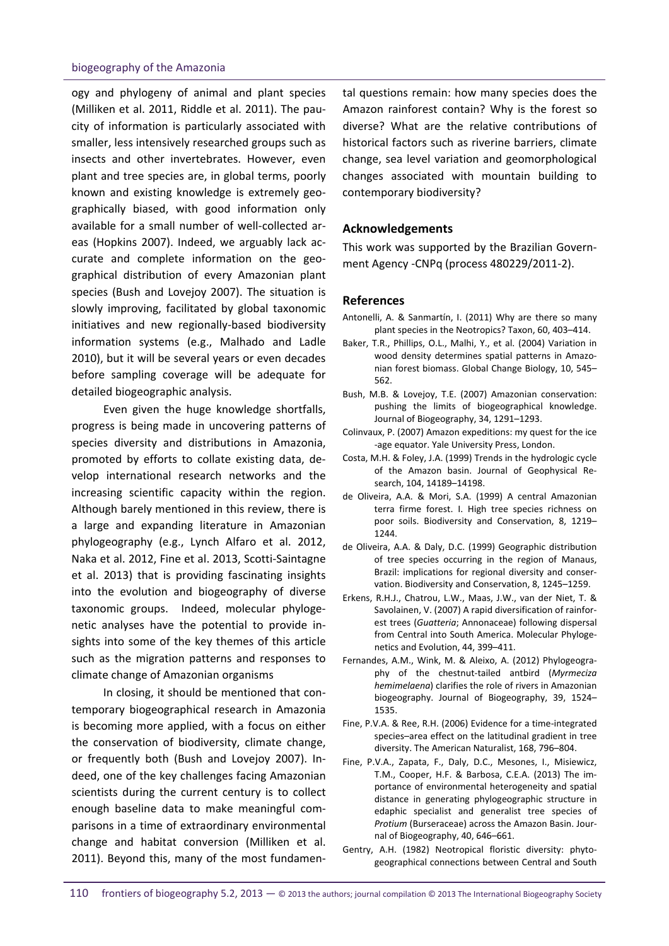#### biogeography of the Amazonia

ogy and phylogeny of animal and plant species (Milliken et al. 2011, Riddle et al. 2011). The pau‐ city of information is particularly associated with smaller, less intensively researched groups such as insects and other invertebrates. However, even plant and tree species are, in global terms, poorly known and existing knowledge is extremely geo‐ graphically biased, with good information only available for a small number of well‐collected ar‐ eas (Hopkins 2007). Indeed, we arguably lack ac‐ curate and complete information on the geographical distribution of every Amazonian plant species (Bush and Lovejoy 2007). The situation is slowly improving, facilitated by global taxonomic initiatives and new regionally‐based biodiversity information systems (e.g., Malhado and Ladle 2010), but it will be several years or even decades before sampling coverage will be adequate for detailed biogeographic analysis.

Even given the huge knowledge shortfalls, progress is being made in uncovering patterns of species diversity and distributions in Amazonia, promoted by efforts to collate existing data, de‐ velop international research networks and the increasing scientific capacity within the region. Although barely mentioned in this review, there is a large and expanding literature in Amazonian phylogeography (e.g., Lynch Alfaro et al. 2012, Naka et al. 2012, Fine et al. 2013, Scotti‐Saintagne et al. 2013) that is providing fascinating insights into the evolution and biogeography of diverse taxonomic groups. Indeed, molecular phyloge‐ netic analyses have the potential to provide in‐ sights into some of the key themes of this article such as the migration patterns and responses to climate change of Amazonian organisms

In closing, it should be mentioned that con‐ temporary biogeographical research in Amazonia is becoming more applied, with a focus on either the conservation of biodiversity, climate change, or frequently both (Bush and Lovejoy 2007). In‐ deed, one of the key challenges facing Amazonian scientists during the current century is to collect enough baseline data to make meaningful com‐ parisons in a time of extraordinary environmental change and habitat conversion (Milliken et al. 2011). Beyond this, many of the most fundamen‐

tal questions remain: how many species does the Amazon rainforest contain? Why is the forest so diverse? What are the relative contributions of historical factors such as riverine barriers, climate change, sea level variation and geomorphological changes associated with mountain building to contemporary biodiversity?

#### **Acknowledgements**

This work was supported by the Brazilian Govern‐ ment Agency ‐CNPq (process 480229/2011‐2).

#### **References**

- Antonelli, A. & Sanmartín, I. (2011) Why are there so many plant species in the Neotropics? Taxon, 60, 403–414.
- Baker, T.R., Phillips, O.L., Malhi, Y., et al. (2004) Variation in wood density determines spatial patterns in Amazonian forest biomass. Global Change Biology, 10, 545– 562.
- Bush, M.B. & Lovejoy, T.E. (2007) Amazonian conservation: pushing the limits of biogeographical knowledge. Journal of Biogeography, 34, 1291–1293.
- Colinvaux, P. (2007) Amazon expeditions: my quest for the ice ‐age equator. Yale University Press, London.
- Costa, M.H. & Foley, J.A. (1999) Trends in the hydrologic cycle of the Amazon basin. Journal of Geophysical Re‐ search, 104, 14189–14198.
- de Oliveira, A.A. & Mori, S.A. (1999) A central Amazonian terra firme forest. I. High tree species richness on poor soils. Biodiversity and Conservation, 8, 1219– 1244.
- de Oliveira, A.A. & Daly, D.C. (1999) Geographic distribution of tree species occurring in the region of Manaus, Brazil: implications for regional diversity and conser‐ vation. Biodiversity and Conservation, 8, 1245–1259.
- Erkens, R.H.J., Chatrou, L.W., Maas, J.W., van der Niet, T. & Savolainen, V. (2007) A rapid diversification of rainfor‐ est trees (*Guatteria*; Annonaceae) following dispersal from Central into South America. Molecular Phyloge‐ netics and Evolution, 44, 399–411.
- Fernandes, A.M., Wink, M. & Aleixo, A. (2012) Phylogeogra‐ phy of the chestnut‐tailed antbird (*Myrmeciza hemimelaena*) clarifies the role of rivers in Amazonian biogeography. Journal of Biogeography, 39, 1524– 1535.
- Fine, P.V.A. & Ree, R.H. (2006) Evidence for a time‐integrated species–area effect on the latitudinal gradient in tree diversity. The American Naturalist, 168, 796–804.
- Fine, P.V.A., Zapata, F., Daly, D.C., Mesones, I., Misiewicz, T.M., Cooper, H.F. & Barbosa, C.E.A. (2013) The im‐ portance of environmental heterogeneity and spatial distance in generating phylogeographic structure in edaphic specialist and generalist tree species of *Protium* (Burseraceae) across the Amazon Basin. Jour‐ nal of Biogeography, 40, 646–661.
- Gentry, A.H. (1982) Neotropical floristic diversity: phytogeographical connections between Central and South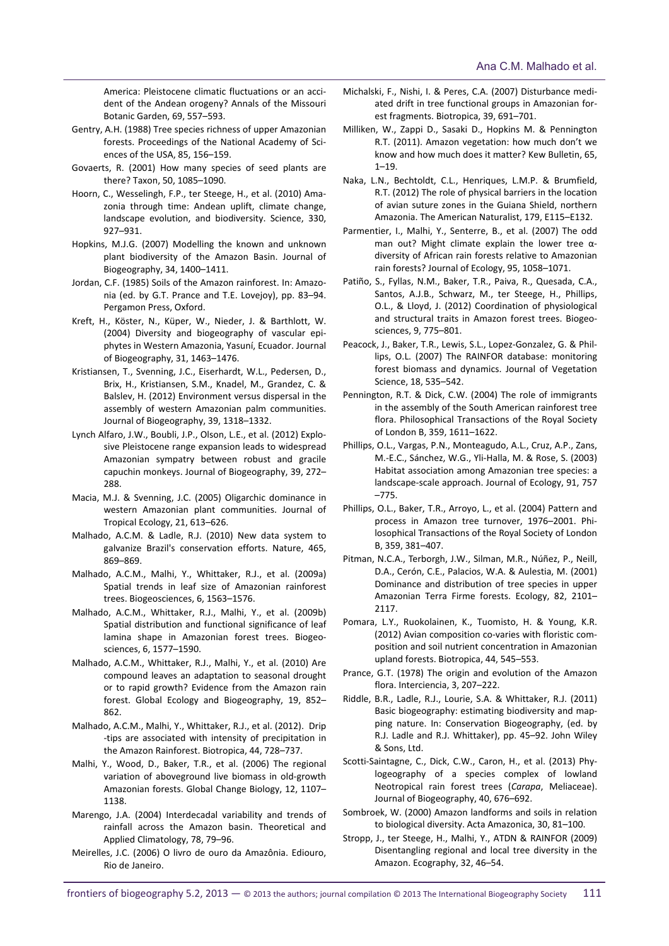America: Pleistocene climatic fluctuations or an acci‐ dent of the Andean orogeny? Annals of the Missouri Botanic Garden, 69, 557–593.

- Gentry, A.H. (1988) Tree species richness of upper Amazonian forests. Proceedings of the National Academy of Sci‐ ences of the USA, 85, 156–159.
- Govaerts, R. (2001) How many species of seed plants are there? Taxon, 50, 1085–1090.
- Hoorn, C., Wesselingh, F.P., ter Steege, H., et al. (2010) Ama‐ zonia through time: Andean uplift, climate change, landscape evolution, and biodiversity. Science, 330, 927–931.
- Hopkins, M.J.G. (2007) Modelling the known and unknown plant biodiversity of the Amazon Basin. Journal of Biogeography, 34, 1400–1411.
- Jordan, C.F. (1985) Soils of the Amazon rainforest. In: Amazo‐ nia (ed. by G.T. Prance and T.E. Lovejoy), pp. 83–94. Pergamon Press, Oxford.
- Kreft, H., Köster, N., Küper, W., Nieder, J. & Barthlott, W. (2004) Diversity and biogeography of vascular epi‐ phytes in Western Amazonia, Yasuní, Ecuador. Journal of Biogeography, 31, 1463–1476.
- Kristiansen, T., Svenning, J.C., Eiserhardt, W.L., Pedersen, D., Brix, H., Kristiansen, S.M., Knadel, M., Grandez, C. & Balslev, H. (2012) Environment versus dispersal in the assembly of western Amazonian palm communities. Journal of Biogeography, 39, 1318–1332.
- Lynch Alfaro, J.W., Boubli, J.P., Olson, L.E., et al. (2012) Explo‐ sive Pleistocene range expansion leads to widespread Amazonian sympatry between robust and gracile capuchin monkeys. Journal of Biogeography, 39, 272– 288.
- Macia, M.J. & Svenning, J.C. (2005) Oligarchic dominance in western Amazonian plant communities. Journal of Tropical Ecology, 21, 613–626.
- Malhado, A.C.M. & Ladle, R.J. (2010) New data system to galvanize Brazil's conservation efforts. Nature, 465, 869–869.
- Malhado, A.C.M., Malhi, Y., Whittaker, R.J., et al. (2009a) Spatial trends in leaf size of Amazonian rainforest trees. Biogeosciences, 6, 1563–1576.
- Malhado, A.C.M., Whittaker, R.J., Malhi, Y., et al. (2009b) Spatial distribution and functional significance of leaf lamina shape in Amazonian forest trees. Biogeo‐ sciences, 6, 1577–1590.
- Malhado, A.C.M., Whittaker, R.J., Malhi, Y., et al. (2010) Are compound leaves an adaptation to seasonal drought or to rapid growth? Evidence from the Amazon rain forest. Global Ecology and Biogeography, 19, 852– 862.
- Malhado, A.C.M., Malhi, Y., Whittaker, R.J., et al. (2012). Drip ‐tips are associated with intensity of precipitation in the Amazon Rainforest. Biotropica, 44, 728–737.
- Malhi, Y., Wood, D., Baker, T.R., et al. (2006) The regional variation of aboveground live biomass in old‐growth Amazonian forests. Global Change Biology, 12, 1107– 1138.
- Marengo, J.A. (2004) Interdecadal variability and trends of rainfall across the Amazon basin. Theoretical and Applied Climatology, 78, 79–96.
- Meirelles, J.C. (2006) O livro de ouro da Amazônia. Ediouro, Rio de Janeiro.
- Michalski, F., Nishi, I. & Peres, C.A. (2007) Disturbance medi‐ ated drift in tree functional groups in Amazonian for‐ est fragments. Biotropica, 39, 691–701.
- Milliken, W., Zappi D., Sasaki D., Hopkins M. & Pennington R.T. (2011). Amazon vegetation: how much don't we know and how much does it matter? Kew Bulletin, 65,  $1 - 19$ .
- Naka, L.N., Bechtoldt, C.L., Henriques, L.M.P. & Brumfield, R.T. (2012) The role of physical barriers in the location of avian suture zones in the Guiana Shield, northern Amazonia. The American Naturalist, 179, E115–E132.
- Parmentier, I., Malhi, Y., Senterre, B., et al. (2007) The odd man out? Might climate explain the lower tree αdiversity of African rain forests relative to Amazonian rain forests? Journal of Ecology, 95, 1058–1071.
- Patiño, S., Fyllas, N.M., Baker, T.R., Paiva, R., Quesada, C.A., Santos, A.J.B., Schwarz, M., ter Steege, H., Phillips, O.L., & Lloyd, J. (2012) Coordination of physiological and structural traits in Amazon forest trees. Biogeo‐ sciences, 9, 775–801.
- Peacock, J., Baker, T.R., Lewis, S.L., Lopez‐Gonzalez, G. & Phil‐ lips, O.L. (2007) The RAINFOR database: monitoring forest biomass and dynamics. Journal of Vegetation Science, 18, 535–542.
- Pennington, R.T. & Dick, C.W. (2004) The role of immigrants in the assembly of the South American rainforest tree flora. Philosophical Transactions of the Royal Society of London B, 359, 1611–1622.
- Phillips, O.L., Vargas, P.N., Monteagudo, A.L., Cruz, A.P., Zans, M.‐E.C., Sánchez, W.G., Yli‐Halla, M. & Rose, S. (2003) Habitat association among Amazonian tree species: a landscape‐scale approach. Journal of Ecology, 91, 757 –775.
- Phillips, O.L., Baker, T.R., Arroyo, L., et al. (2004) Pattern and process in Amazon tree turnover, 1976–2001. Phi‐ losophical Transactions of the Royal Society of London B, 359, 381–407.
- Pitman, N.C.A., Terborgh, J.W., Silman, M.R., Núñez, P., Neill, D.A., Cerón, C.E., Palacios, W.A. & Aulestia, M. (2001) Dominance and distribution of tree species in upper Amazonian Terra Firme forests. Ecology, 82, 2101– 2117.
- Pomara, L.Y., Ruokolainen, K., Tuomisto, H. & Young, K.R. (2012) Avian composition co‐varies with floristic com‐ position and soil nutrient concentration in Amazonian upland forests. Biotropica, 44, 545–553.
- Prance, G.T. (1978) The origin and evolution of the Amazon flora. Interciencia, 3, 207–222.
- Riddle, B.R., Ladle, R.J., Lourie, S.A. & Whittaker, R.J. (2011) Basic biogeography: estimating biodiversity and map‐ ping nature. In: Conservation Biogeography, (ed. by R.J. Ladle and R.J. Whittaker), pp. 45–92. John Wiley & Sons, Ltd.
- Scotti-Saintagne, C., Dick, C.W., Caron, H., et al. (2013) Phylogeography of a species complex of lowland Neotropical rain forest trees (*Carapa*, Meliaceae). Journal of Biogeography, 40, 676–692.
- Sombroek, W. (2000) Amazon landforms and soils in relation to biological diversity. Acta Amazonica, 30, 81–100.
- Stropp, J., ter Steege, H., Malhi, Y., ATDN & RAINFOR (2009) Disentangling regional and local tree diversity in the Amazon. Ecography, 32, 46–54.